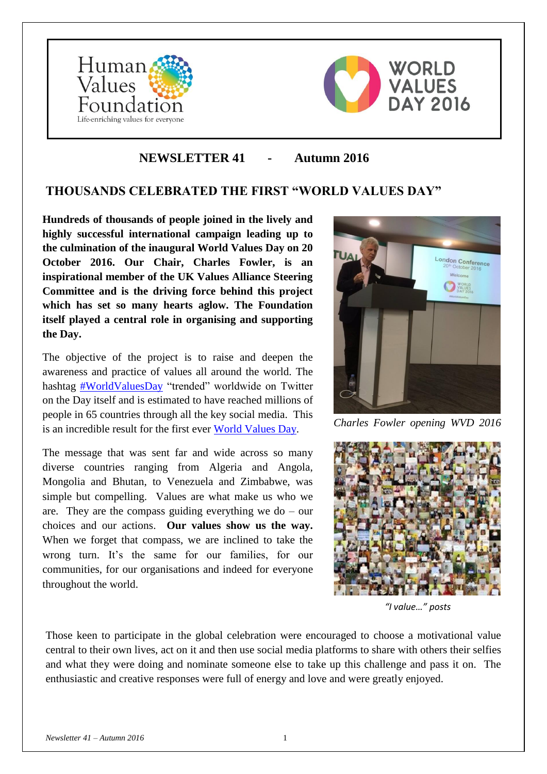



# **NEWSLETTER 41 - Autumn 2016**

## **THOUSANDS CELEBRATED THE FIRST "WORLD VALUES DAY"**

**Hundreds of thousands of people joined in the lively and highly successful international campaign leading up to the culmination of the inaugural World Values Day on 20 October 2016. Our Chair, Charles Fowler, is an inspirational member of the UK Values Alliance Steering Committee and is the driving force behind this project which has set so many hearts aglow. The Foundation itself played a central role in organising and supporting the Day.** 

The objective of the project is to raise and deepen the awareness and practice of values all around the world. The hashtag [#WorldValuesDay](https://twitter.com/search?q=%23worldvaluesday) "trended" worldwide on Twitter on the Day itself and is estimated to have reached millions of people in 65 countries through all the key social media. This is an incredible result for the first ever [World Values Day.](https://www.instagram.com/valuesday/)

The message that was sent far and wide across so many diverse countries ranging from Algeria and Angola, Mongolia and Bhutan, to Venezuela and Zimbabwe, was simple but compelling. Values are what make us who we are. They are the compass guiding everything we do – our choices and our actions. **Our values show us the way.**  When we forget that compass, we are inclined to take the wrong turn. It's the same for our families, for our communities, for our organisations and indeed for everyone throughout the world.



*Charles Fowler opening WVD 2016*



 *"I value…" posts*

Those keen to participate in the global celebration were encouraged to choose a motivational value central to their own lives, act on it and then use social media platforms to share with others their selfies and what they were doing and nominate someone else to take up this challenge and pass it on. The enthusiastic and creative responses were full of energy and love and were greatly enjoyed.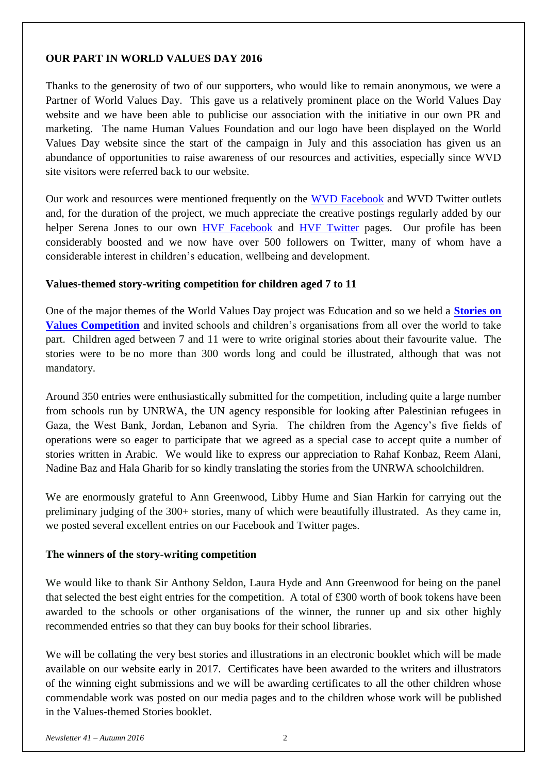## **OUR PART IN WORLD VALUES DAY 2016**

Thanks to the generosity of two of our supporters, who would like to remain anonymous, we were a Partner of World Values Day. This gave us a relatively prominent place on the World Values Day website and we have been able to publicise our association with the initiative in our own PR and marketing. The name Human Values Foundation and our logo have been displayed on the World Values Day website since the start of the campaign in July and this association has given us an abundance of opportunities to raise awareness of our resources and activities, especially since WVD site visitors were referred back to our website.

Our work and resources were mentioned frequently on the [WVD Facebook](http://www.facebook.com/ValuesDay) and WVD Twitter outlets and, for the duration of the project, we much appreciate the creative postings regularly added by our helper Serena Jones to our own [HVF Facebook](https://www.facebook.com/humanvaluesfoundation) and [HVF Twitter](https://twitter.com/@HVF_Values) pages. Our profile has been considerably boosted and we now have over 500 followers on Twitter, many of whom have a considerable interest in children's education, wellbeing and development.

## **Values-themed story-writing competition for children aged 7 to 11**

One of the major themes of the World Values Day project was Education and so we held a **[Stories on](http://www.humanvaluesfoundation.com/values-stories-competition.html)  [Values Competition](http://www.humanvaluesfoundation.com/values-stories-competition.html)** and invited schools and children's organisations from all over the world to take part. Children aged between 7 and 11 were to write original stories about their favourite value. The stories were to be no more than 300 words long and could be illustrated, although that was not mandatory.

Around 350 entries were enthusiastically submitted for the competition, including quite a large number from schools run by UNRWA, the UN agency responsible for looking after Palestinian refugees in Gaza, the West Bank, Jordan, Lebanon and Syria. The children from the Agency's five fields of operations were so eager to participate that we agreed as a special case to accept quite a number of stories written in Arabic. We would like to express our appreciation to Rahaf Konbaz, Reem Alani, Nadine Baz and Hala Gharib for so kindly translating the stories from the UNRWA schoolchildren.

We are enormously grateful to Ann Greenwood, Libby Hume and Sian Harkin for carrying out the preliminary judging of the 300+ stories, many of which were beautifully illustrated. As they came in, we posted several excellent entries on our Facebook and Twitter pages.

## **The winners of the story-writing competition**

We would like to thank Sir Anthony Seldon, Laura Hyde and Ann Greenwood for being on the panel that selected the best eight entries for the competition. A total of £300 worth of book tokens have been awarded to the schools or other organisations of the winner, the runner up and six other highly recommended entries so that they can buy books for their school libraries.

We will be collating the very best stories and illustrations in an electronic booklet which will be made available on our website early in 2017. Certificates have been awarded to the writers and illustrators of the winning eight submissions and we will be awarding certificates to all the other children whose commendable work was posted on our media pages and to the children whose work will be published in the Values-themed Stories booklet.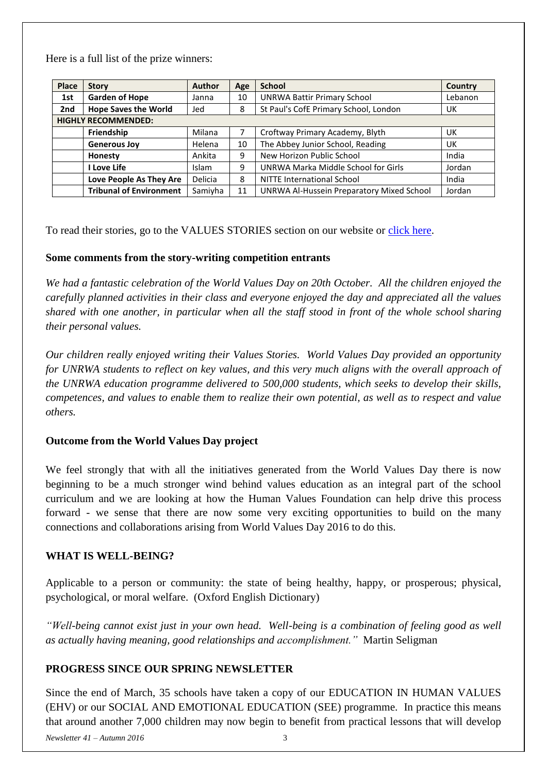Here is a full list of the prize winners:

| <b>Place</b>               | <b>Story</b>                   | <b>Author</b> | Age | <b>School</b>                             | <b>Country</b> |
|----------------------------|--------------------------------|---------------|-----|-------------------------------------------|----------------|
| 1st                        | <b>Garden of Hope</b>          | Janna         | 10  | <b>UNRWA Battir Primary School</b>        | Lebanon        |
| 2nd                        | <b>Hope Saves the World</b>    | Jed           | 8   | St Paul's CofE Primary School, London     | UK             |
| <b>HIGHLY RECOMMENDED:</b> |                                |               |     |                                           |                |
|                            | Friendship                     | Milana        | 7   | Croftway Primary Academy, Blyth           | UK             |
|                            | <b>Generous Joy</b>            | Helena        | 10  | The Abbey Junior School, Reading          | UK             |
|                            | Honesty                        | Ankita        | 9   | New Horizon Public School                 | India          |
|                            | I Love Life                    | <b>Islam</b>  | 9   | UNRWA Marka Middle School for Girls       | Jordan         |
|                            | Love People As They Are        | Delicia       | 8   | <b>NITTE International School</b>         | India          |
|                            | <b>Tribunal of Environment</b> | Samiyha       | 11  | UNRWA Al-Hussein Preparatory Mixed School | Jordan         |

To read their stories, go to the VALUES STORIES section on our website or [click here.](http://www.humanvaluesfoundation.com/values-stories.html)

## **Some comments from the story-writing competition entrants**

*We had a fantastic celebration of the World Values Day on 20th October. All the children enjoyed the carefully planned activities in their class and everyone enjoyed the day and appreciated all the values shared with one another, in particular when all the staff stood in front of the whole school sharing their personal values.*

*Our children really enjoyed writing their Values Stories. World Values Day provided an opportunity for UNRWA students to reflect on key values, and this very much aligns with the overall approach of the UNRWA education programme delivered to 500,000 students, which seeks to develop their skills, competences, and values to enable them to realize their own potential, as well as to respect and value others.*

## **Outcome from the World Values Day project**

We feel strongly that with all the initiatives generated from the World Values Day there is now beginning to be a much stronger wind behind values education as an integral part of the school curriculum and we are looking at how the Human Values Foundation can help drive this process forward - we sense that there are now some very exciting opportunities to build on the many connections and collaborations arising from World Values Day 2016 to do this.

## **WHAT IS WELL-BEING?**

Applicable to a person or community: the state of being healthy, happy, or prosperous; physical, psychological, or moral welfare. (Oxford English Dictionary)

*"Well-being cannot exist just in your own head. Well-being is a combination of feeling good as well as actually having meaning, good relationships and accomplishment."* Martin Seligman

## **PROGRESS SINCE OUR SPRING NEWSLETTER**

Since the end of March, 35 schools have taken a copy of our EDUCATION IN HUMAN VALUES (EHV) or our SOCIAL AND EMOTIONAL EDUCATION (SEE) programme. In practice this means that around another 7,000 children may now begin to benefit from practical lessons that will develop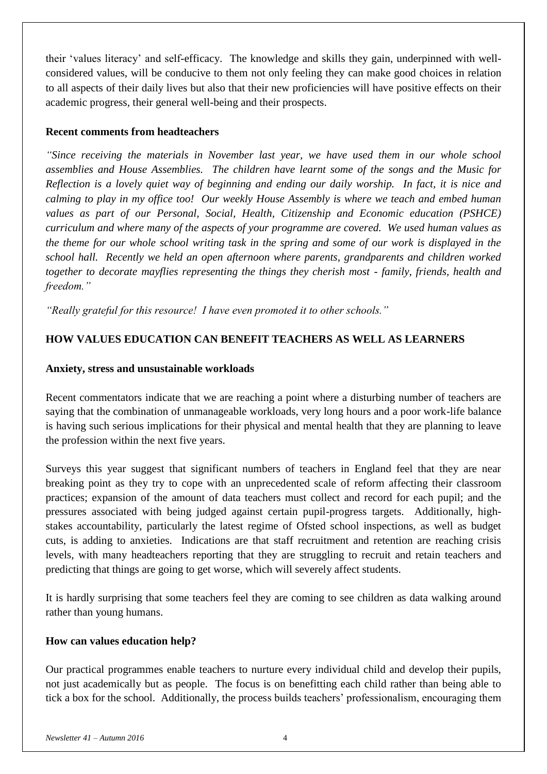their 'values literacy' and self-efficacy. The knowledge and skills they gain, underpinned with wellconsidered values, will be conducive to them not only feeling they can make good choices in relation to all aspects of their daily lives but also that their new proficiencies will have positive effects on their academic progress, their general well-being and their prospects.

### **Recent comments from headteachers**

*"Since receiving the materials in November last year, we have used them in our whole school assemblies and House Assemblies. The children have learnt some of the songs and the Music for Reflection is a lovely quiet way of beginning and ending our daily worship. In fact, it is nice and calming to play in my office too! Our weekly House Assembly is where we teach and embed human values as part of our Personal, Social, Health, Citizenship and Economic education (PSHCE) curriculum and where many of the aspects of your programme are covered. We used human values as the theme for our whole school writing task in the spring and some of our work is displayed in the school hall. Recently we held an open afternoon where parents, grandparents and children worked together to decorate mayflies representing the things they cherish most - family, friends, health and freedom."*

*"Really grateful for this resource! I have even promoted it to other schools."*

## **HOW VALUES EDUCATION CAN BENEFIT TEACHERS AS WELL AS LEARNERS**

## **Anxiety, stress and unsustainable workloads**

Recent commentators indicate that we are reaching a point where a disturbing number of teachers are saying that the combination of unmanageable workloads, very long hours and a poor work-life balance is having such serious implications for their physical and mental health that they are planning to leave the profession within the next five years.

Surveys this year suggest that significant numbers of teachers in England feel that they are near breaking point as they try to cope with an unprecedented scale of reform affecting their classroom practices; expansion of the amount of data teachers must collect and record for each pupil; and the pressures associated with being judged against certain pupil-progress targets. Additionally, highstakes accountability, particularly the latest regime of Ofsted school inspections, as well as budget cuts, is adding to anxieties. Indications are that staff recruitment and retention are reaching crisis levels, with many headteachers reporting that they are struggling to recruit and retain teachers and predicting that things are going to get worse, which will severely affect students.

It is hardly surprising that some teachers feel they are coming to see children as data walking around rather than young humans.

## **How can values education help?**

Our practical programmes enable teachers to nurture every individual child and develop their pupils, not just academically but as people. The focus is on benefitting each child rather than being able to tick a box for the school. Additionally, the process builds teachers' professionalism, encouraging them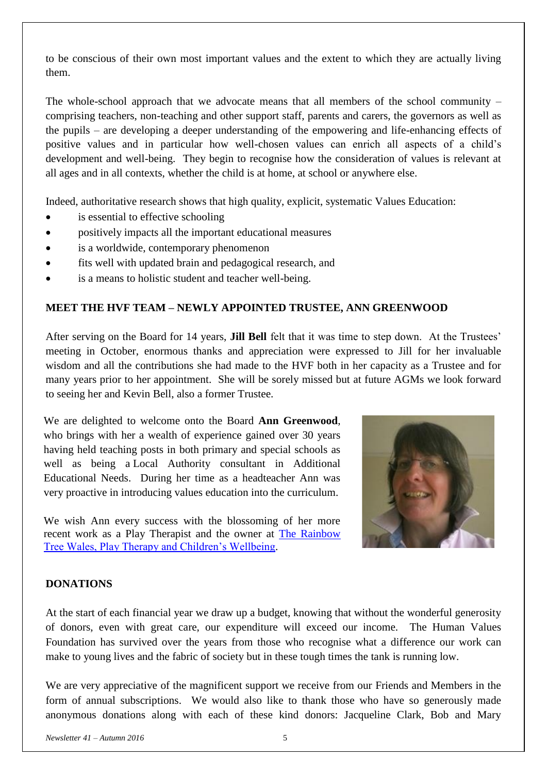to be conscious of their own most important values and the extent to which they are actually living them.

The whole-school approach that we advocate means that all members of the school community – comprising teachers, non-teaching and other support staff, parents and carers, the governors as well as the pupils – are developing a deeper understanding of the empowering and life-enhancing effects of positive values and in particular how well-chosen values can enrich all aspects of a child's development and well-being. They begin to recognise how the consideration of values is relevant at all ages and in all contexts, whether the child is at home, at school or anywhere else.

Indeed, authoritative research shows that high quality, explicit, systematic Values Education:

- is essential to effective schooling
- positively impacts all the important educational measures
- is a worldwide, contemporary phenomenon
- fits well with updated brain and pedagogical research, and
- is a means to holistic student and teacher well-being.

#### **MEET THE HVF TEAM – NEWLY APPOINTED TRUSTEE, ANN GREENWOOD**

After serving on the Board for 14 years, **Jill Bell** felt that it was time to step down. At the Trustees' meeting in October, enormous thanks and appreciation were expressed to Jill for her invaluable wisdom and all the contributions she had made to the HVF both in her capacity as a Trustee and for many years prior to her appointment. She will be sorely missed but at future AGMs we look forward to seeing her and Kevin Bell, also a former Trustee.

We are delighted to welcome onto the Board **Ann Greenwood**, who brings with her a wealth of experience gained over 30 years having held teaching posts in both primary and special schools as well as being a Local Authority consultant in Additional Educational Needs. During her time as a headteacher Ann was very proactive in introducing values education into the curriculum.

We wish Ann every success with the blossoming of her more recent work as a Play Therapist and the owner at [The Rainbow](https://www.therainbowtreewales.co.uk/)  [Tree Wales, Play Therapy and Children's Wellbeing.](https://www.therainbowtreewales.co.uk/)



#### **DONATIONS**

At the start of each financial year we draw up a budget, knowing that without the wonderful generosity of donors, even with great care, our expenditure will exceed our income. The Human Values Foundation has survived over the years from those who recognise what a difference our work can make to young lives and the fabric of society but in these tough times the tank is running low.

We are very appreciative of the magnificent support we receive from our Friends and Members in the form of annual subscriptions. We would also like to thank those who have so generously made anonymous donations along with each of these kind donors: Jacqueline Clark, Bob and Mary